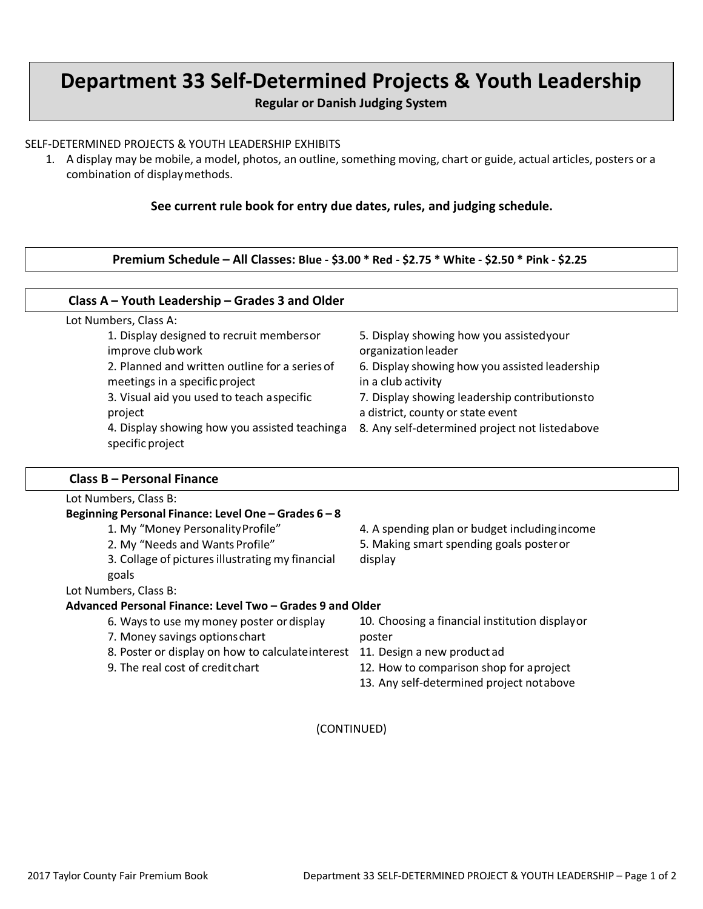# **Department 33 Self-Determined Projects & Youth Leadership**

**Regular or Danish Judging System**

#### SELF-DETERMINED PROJECTS & YOUTH LEADERSHIP EXHIBITS

**Class A – Youth Leadership – Grades 3 and Older**

1. A display may be mobile, a model, photos, an outline, something moving, chart or guide, actual articles, posters or a combination of displaymethods.

**See current rule book for entry due dates, rules, and judging schedule.**

**Premium Schedule – All Classes: Blue - \$3.00 \* Red - \$2.75 \* White - \$2.50 \* Pink - \$2.25**

| 5. Display showing how you assistedyour<br>organization leader                     |
|------------------------------------------------------------------------------------|
| 6. Display showing how you assisted leadership<br>in a club activity               |
| 7. Display showing leadership contributionsto<br>a district, county or state event |
| 8. Any self-determined project not listedabove                                     |
|                                                                                    |

#### **Class B – Personal Finance**

|                                                           | Lot Numbers, Class B:                              |                                                |
|-----------------------------------------------------------|----------------------------------------------------|------------------------------------------------|
|                                                           | Beginning Personal Finance: Level One - Grades 6-8 |                                                |
|                                                           | 1. My "Money Personality Profile"                  | 4. A spending plan or budget including income  |
|                                                           | 2. My "Needs and Wants Profile"                    | 5. Making smart spending goals poster or       |
|                                                           | 3. Collage of pictures illustrating my financial   | display                                        |
|                                                           | goals                                              |                                                |
|                                                           | Lot Numbers, Class B:                              |                                                |
| Advanced Personal Finance: Level Two – Grades 9 and Older |                                                    |                                                |
|                                                           | 6. Ways to use my money poster or display          | 10. Choosing a financial institution displayor |
|                                                           | 7. Money savings options chart                     | poster                                         |
|                                                           | 8. Poster or display on how to calculate interest  | 11. Design a new product ad                    |
|                                                           | 9. The real cost of credit chart                   | 12. How to comparison shop for aproject        |
|                                                           |                                                    | 13. Any self-determined project notabove       |
|                                                           |                                                    |                                                |

(CONTINUED)